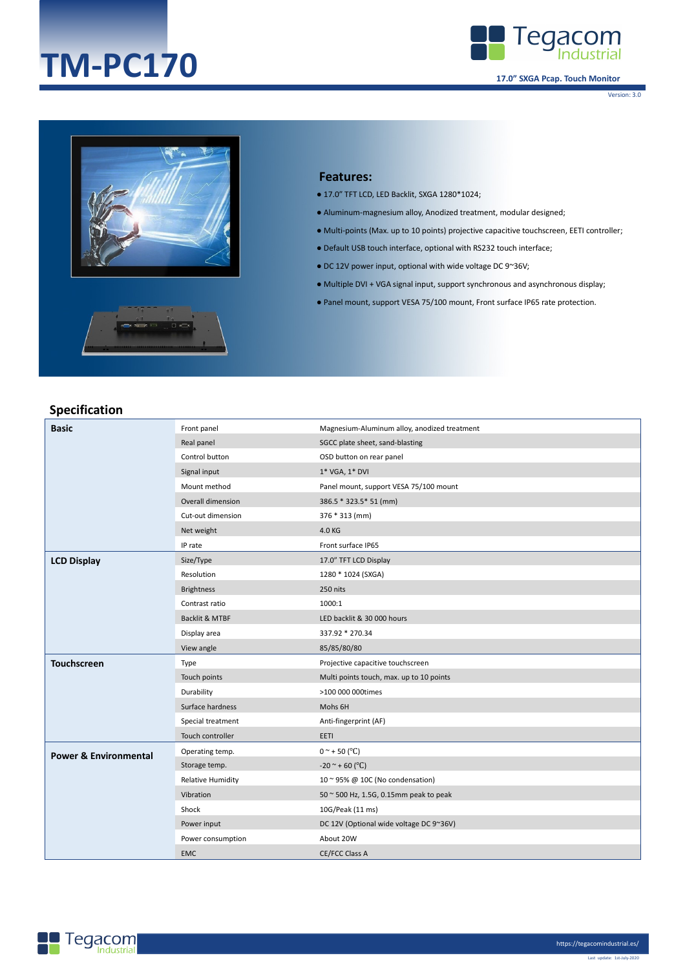# **TM-PC170**



**17.0" SXGA Pcap. Touch Monitor**

Version: 3.0





#### **Features:**

- 17.0" TFT LCD, LED Backlit, SXGA 1280\*1024;
- Aluminum-magnesium alloy, Anodized treatment, modular designed;
- Multi-points (Max. up to 10 points) projective capacitive touchscreen, EETI controller;
- Default USB touch interface, optional with RS232 touch interface;
- $\bullet$  DC 12V power input, optional with wide voltage DC 9~36V;
- Multiple DVI + VGA signal input, support synchronous and asynchronous display;
- Panel mount, support VESA 75/100 mount, Front surface IP65 rate protection.

#### **Specification**

| <b>Basic</b>                     | Front panel              | Magnesium-Aluminum alloy, anodized treatment |
|----------------------------------|--------------------------|----------------------------------------------|
|                                  | Real panel               | SGCC plate sheet, sand-blasting              |
|                                  | Control button           | OSD button on rear panel                     |
|                                  | Signal input             | 1* VGA, 1* DVI                               |
|                                  | Mount method             | Panel mount, support VESA 75/100 mount       |
|                                  | Overall dimension        | 386.5 * 323.5 * 51 (mm)                      |
|                                  | Cut-out dimension        | 376 * 313 (mm)                               |
|                                  | Net weight               | 4.0 KG                                       |
|                                  | IP rate                  | Front surface IP65                           |
| <b>LCD Display</b>               | Size/Type                | 17.0" TFT LCD Display                        |
|                                  | Resolution               | 1280 * 1024 (SXGA)                           |
|                                  | <b>Brightness</b>        | 250 nits                                     |
|                                  | Contrast ratio           | 1000:1                                       |
|                                  | Backlit & MTBF           | LED backlit & 30 000 hours                   |
|                                  | Display area             | 337.92 * 270.34                              |
|                                  | View angle               | 85/85/80/80                                  |
| <b>Touchscreen</b>               | Type                     | Projective capacitive touchscreen            |
|                                  | Touch points             | Multi points touch, max. up to 10 points     |
|                                  | Durability               | >100 000 000times                            |
|                                  | Surface hardness         | Mohs 6H                                      |
|                                  | Special treatment        | Anti-fingerprint (AF)                        |
|                                  | Touch controller         | EETI                                         |
| <b>Power &amp; Environmental</b> | Operating temp.          | $0^{\circ}$ + 50 ( $^{\circ}$ C)             |
|                                  | Storage temp.            | $-20$ ~ + 60 (°C)                            |
|                                  | <b>Relative Humidity</b> | 10 ~ 95% @ 10C (No condensation)             |
|                                  | Vibration                | 50 ~ 500 Hz, 1.5G, 0.15mm peak to peak       |
|                                  | Shock                    | 10G/Peak (11 ms)                             |
|                                  | Power input              | DC 12V (Optional wide voltage DC 9~36V)      |
|                                  | Power consumption        | About 20W                                    |
|                                  | <b>EMC</b>               | CE/FCC Class A                               |